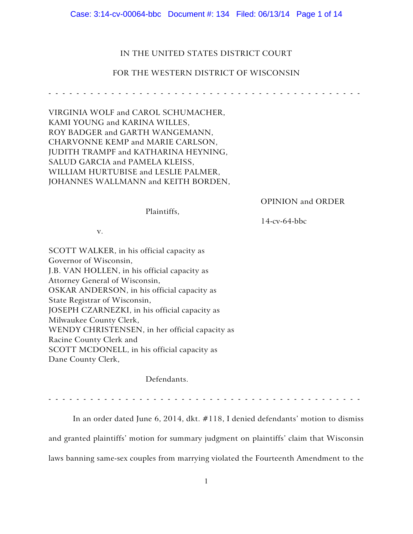Case: 3:14-cv-00064-bbc Document #: 134 Filed: 06/13/14 Page 1 of 14

# IN THE UNITED STATES DISTRICT COURT

#### FOR THE WESTERN DISTRICT OF WISCONSIN

------------- ---------------- ----------------

VIRGINIA WOLF and CAROL SCHUMACHER, KAMI YOUNG and KARINA WILLES, ROY BADGER and GARTH WANGEMANN, CHARVONNE KEMP and MARIE CARLSON, JUDITH TRAMPF and KATHARINA HEYNING, SALUD GARCIA and PAMELA KLEISS, WILLIAM HURTUBISE and LESLIE PALMER, JOHANNES WALLMANN and KEITH BORDEN,

OPINION and ORDER

Plaintiffs,

14-cv-64-bbc

v.

SCOTT WALKER, in his official capacity as Governor of Wisconsin, J.B. VAN HOLLEN, in his official capacity as Attorney General of Wisconsin, OSKAR ANDERSON, in his official capacity as State Registrar of Wisconsin, JOSEPH CZARNEZKI, in his official capacity as Milwaukee County Clerk, WENDY CHRISTENSEN, in her official capacity as Racine County Clerk and SCOTT MCDONELL, in his official capacity as Dane County Clerk,

Defendants.

------------- ---------------- ----------------

In an order dated June 6, 2014, dkt. #118, I denied defendants' motion to dismiss and granted plaintiffs' motion for summary judgment on plaintiffs' claim that Wisconsin laws banning same-sex couples from marrying violated the Fourteenth Amendment to the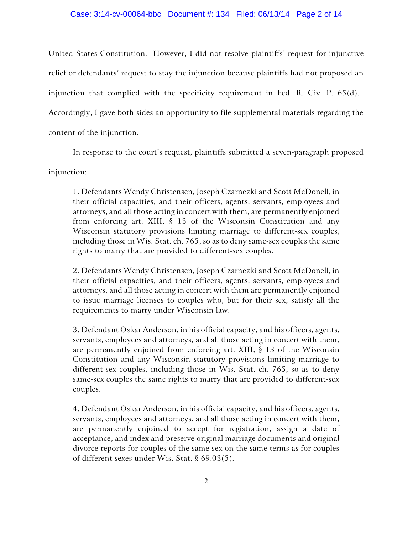# Case: 3:14-cv-00064-bbc Document #: 134 Filed: 06/13/14 Page 2 of 14

United States Constitution. However, I did not resolve plaintiffs' request for injunctive relief or defendants' request to stay the injunction because plaintiffs had not proposed an injunction that complied with the specificity requirement in Fed. R. Civ. P. 65(d). Accordingly, I gave both sides an opportunity to file supplemental materials regarding the content of the injunction.

In response to the court's request, plaintiffs submitted a seven-paragraph proposed

injunction:

1. Defendants Wendy Christensen, Joseph Czarnezki and Scott McDonell, in their official capacities, and their officers, agents, servants, employees and attorneys, and all those acting in concert with them, are permanently enjoined from enforcing art. XIII, § 13 of the Wisconsin Constitution and any Wisconsin statutory provisions limiting marriage to different-sex couples, including those in Wis. Stat. ch. 765, so as to deny same-sex couples the same rights to marry that are provided to different-sex couples.

2. Defendants Wendy Christensen, Joseph Czarnezki and Scott McDonell, in their official capacities, and their officers, agents, servants, employees and attorneys, and all those acting in concert with them are permanently enjoined to issue marriage licenses to couples who, but for their sex, satisfy all the requirements to marry under Wisconsin law.

3. Defendant Oskar Anderson, in his official capacity, and his officers, agents, servants, employees and attorneys, and all those acting in concert with them, are permanently enjoined from enforcing art. XIII, § 13 of the Wisconsin Constitution and any Wisconsin statutory provisions limiting marriage to different-sex couples, including those in Wis. Stat. ch. 765, so as to deny same-sex couples the same rights to marry that are provided to different-sex couples.

4. Defendant Oskar Anderson, in his official capacity, and his officers, agents, servants, employees and attorneys, and all those acting in concert with them, are permanently enjoined to accept for registration, assign a date of acceptance, and index and preserve original marriage documents and original divorce reports for couples of the same sex on the same terms as for couples of different sexes under Wis. Stat. § 69.03(5).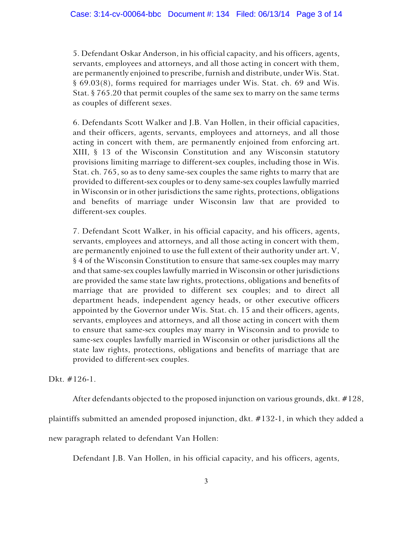5. Defendant Oskar Anderson, in his official capacity, and his officers, agents, servants, employees and attorneys, and all those acting in concert with them, are permanently enjoined to prescribe, furnish and distribute, under Wis. Stat. § 69.03(8), forms required for marriages under Wis. Stat. ch. 69 and Wis. Stat. § 765.20 that permit couples of the same sex to marry on the same terms as couples of different sexes.

6. Defendants Scott Walker and J.B. Van Hollen, in their official capacities, and their officers, agents, servants, employees and attorneys, and all those acting in concert with them, are permanently enjoined from enforcing art. XIII, § 13 of the Wisconsin Constitution and any Wisconsin statutory provisions limiting marriage to different-sex couples, including those in Wis. Stat. ch. 765, so as to deny same-sex couples the same rights to marry that are provided to different-sex couples or to deny same-sex couples lawfully married in Wisconsin or in other jurisdictions the same rights, protections, obligations and benefits of marriage under Wisconsin law that are provided to different-sex couples.

7. Defendant Scott Walker, in his official capacity, and his officers, agents, servants, employees and attorneys, and all those acting in concert with them, are permanently enjoined to use the full extent of their authority under art. V, § 4 of the Wisconsin Constitution to ensure that same-sex couples may marry and that same-sex couples lawfully married in Wisconsin or other jurisdictions are provided the same state law rights, protections, obligations and benefits of marriage that are provided to different sex couples; and to direct all department heads, independent agency heads, or other executive officers appointed by the Governor under Wis. Stat. ch. 15 and their officers, agents, servants, employees and attorneys, and all those acting in concert with them to ensure that same-sex couples may marry in Wisconsin and to provide to same-sex couples lawfully married in Wisconsin or other jurisdictions all the state law rights, protections, obligations and benefits of marriage that are provided to different-sex couples.

Dkt. #126-1.

After defendants objected to the proposed injunction on various grounds, dkt. #128,

plaintiffs submitted an amended proposed injunction, dkt. #132-1, in which they added a

new paragraph related to defendant Van Hollen:

Defendant J.B. Van Hollen, in his official capacity, and his officers, agents,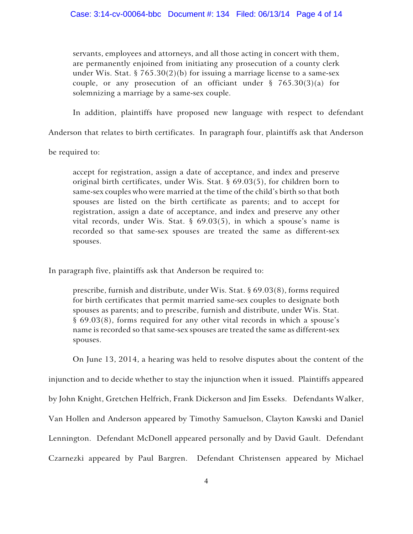servants, employees and attorneys, and all those acting in concert with them, are permanently enjoined from initiating any prosecution of a county clerk under Wis. Stat. § 765.30(2)(b) for issuing a marriage license to a same-sex couple, or any prosecution of an officiant under  $\S$  765.30(3)(a) for solemnizing a marriage by a same-sex couple.

In addition, plaintiffs have proposed new language with respect to defendant

Anderson that relates to birth certificates. In paragraph four, plaintiffs ask that Anderson

be required to:

accept for registration, assign a date of acceptance, and index and preserve original birth certificates, under Wis. Stat. § 69.03(5), for children born to same-sex couples who were married at the time of the child's birth so that both spouses are listed on the birth certificate as parents; and to accept for registration, assign a date of acceptance, and index and preserve any other vital records, under Wis. Stat.  $\S$  69.03(5), in which a spouse's name is recorded so that same-sex spouses are treated the same as different-sex spouses.

In paragraph five, plaintiffs ask that Anderson be required to:

prescribe, furnish and distribute, under Wis. Stat. § 69.03(8), forms required for birth certificates that permit married same-sex couples to designate both spouses as parents; and to prescribe, furnish and distribute, under Wis. Stat. § 69.03(8), forms required for any other vital records in which a spouse's name is recorded so that same-sex spouses are treated the same as different-sex spouses.

On June 13, 2014, a hearing was held to resolve disputes about the content of the injunction and to decide whether to stay the injunction when it issued. Plaintiffs appeared by John Knight, Gretchen Helfrich, Frank Dickerson and Jim Esseks. Defendants Walker, Van Hollen and Anderson appeared by Timothy Samuelson, Clayton Kawski and Daniel Lennington. Defendant McDonell appeared personally and by David Gault. Defendant Czarnezki appeared by Paul Bargren. Defendant Christensen appeared by Michael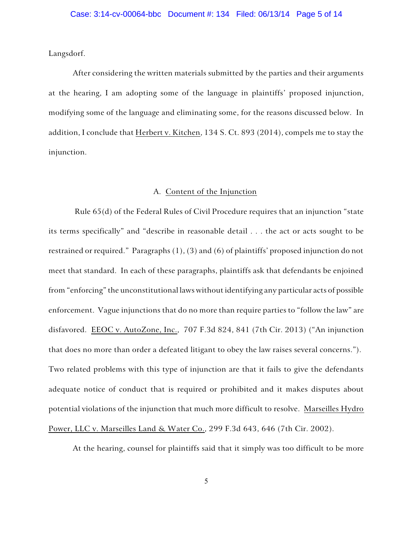Langsdorf.

After considering the written materials submitted by the parties and their arguments at the hearing, I am adopting some of the language in plaintiffs' proposed injunction, modifying some of the language and eliminating some, for the reasons discussed below. In addition, I conclude that Herbert v. Kitchen, 134 S. Ct. 893 (2014), compels me to stay the injunction.

#### A. Content of the Injunction

Rule 65(d) of the Federal Rules of Civil Procedure requires that an injunction "state its terms specifically" and "describe in reasonable detail . . . the act or acts sought to be restrained or required." Paragraphs (1), (3) and (6) of plaintiffs' proposed injunction do not meet that standard. In each of these paragraphs, plaintiffs ask that defendants be enjoined from "enforcing" the unconstitutional laws without identifying any particular acts of possible enforcement. Vague injunctions that do no more than require parties to "follow the law" are disfavored. EEOC v. AutoZone, Inc., 707 F.3d 824, 841 (7th Cir. 2013) ("An injunction that does no more than order a defeated litigant to obey the law raises several concerns."). Two related problems with this type of injunction are that it fails to give the defendants adequate notice of conduct that is required or prohibited and it makes disputes about potential violations of the injunction that much more difficult to resolve. Marseilles Hydro Power, LLC v. Marseilles Land & Water Co., 299 F.3d 643, 646 (7th Cir. 2002).

At the hearing, counsel for plaintiffs said that it simply was too difficult to be more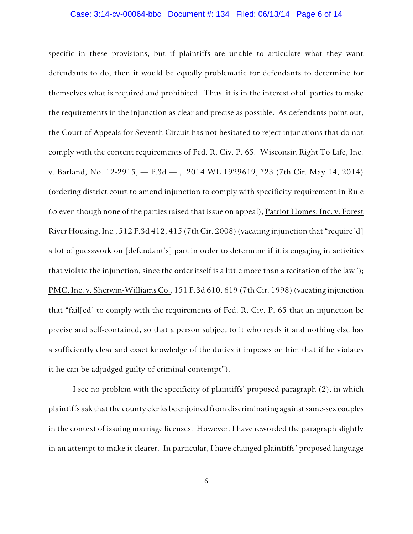#### Case: 3:14-cv-00064-bbc Document #: 134 Filed: 06/13/14 Page 6 of 14

specific in these provisions, but if plaintiffs are unable to articulate what they want defendants to do, then it would be equally problematic for defendants to determine for themselves what is required and prohibited. Thus, it is in the interest of all parties to make the requirements in the injunction as clear and precise as possible. As defendants point out, the Court of Appeals for Seventh Circuit has not hesitated to reject injunctions that do not comply with the content requirements of Fed. R. Civ. P. 65. Wisconsin Right To Life, Inc. v. Barland, No. 12-2915, — F.3d — , 2014 WL 1929619, \*23 (7th Cir. May 14, 2014) (ordering district court to amend injunction to comply with specificity requirement in Rule 65 even though none of the parties raised that issue on appeal); Patriot Homes, Inc. v. Forest River Housing, Inc., 512 F.3d 412, 415 (7th Cir. 2008) (vacating injunction that "require[d] a lot of guesswork on [defendant's] part in order to determine if it is engaging in activities that violate the injunction, since the order itself is a little more than a recitation of the law"); PMC, Inc. v. Sherwin-Williams Co., 151 F.3d 610, 619 (7th Cir. 1998) (vacating injunction that "fail[ed] to comply with the requirements of Fed. R. Civ. P. 65 that an injunction be precise and self-contained, so that a person subject to it who reads it and nothing else has a sufficiently clear and exact knowledge of the duties it imposes on him that if he violates it he can be adjudged guilty of criminal contempt").

I see no problem with the specificity of plaintiffs' proposed paragraph (2), in which plaintiffs ask that the county clerks be enjoined from discriminating against same-sex couples in the context of issuing marriage licenses. However, I have reworded the paragraph slightly in an attempt to make it clearer. In particular, I have changed plaintiffs' proposed language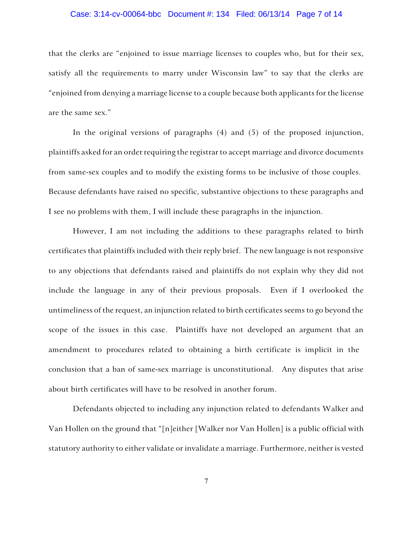# Case: 3:14-cv-00064-bbc Document #: 134 Filed: 06/13/14 Page 7 of 14

that the clerks are "enjoined to issue marriage licenses to couples who, but for their sex, satisfy all the requirements to marry under Wisconsin law" to say that the clerks are "enjoined from denying a marriage license to a couple because both applicants for the license are the same sex."

In the original versions of paragraphs (4) and (5) of the proposed injunction, plaintiffs asked for an order requiring the registrar to accept marriage and divorce documents from same-sex couples and to modify the existing forms to be inclusive of those couples. Because defendants have raised no specific, substantive objections to these paragraphs and I see no problems with them, I will include these paragraphs in the injunction.

However, I am not including the additions to these paragraphs related to birth certificates that plaintiffs included with their reply brief. The new language is not responsive to any objections that defendants raised and plaintiffs do not explain why they did not include the language in any of their previous proposals. Even if I overlooked the untimeliness of the request, an injunction related to birth certificates seems to go beyond the scope of the issues in this case. Plaintiffs have not developed an argument that an amendment to procedures related to obtaining a birth certificate is implicit in the conclusion that a ban of same-sex marriage is unconstitutional. Any disputes that arise about birth certificates will have to be resolved in another forum.

Defendants objected to including any injunction related to defendants Walker and Van Hollen on the ground that "[n]either [Walker nor Van Hollen] is a public official with statutory authority to either validate or invalidate a marriage. Furthermore, neither is vested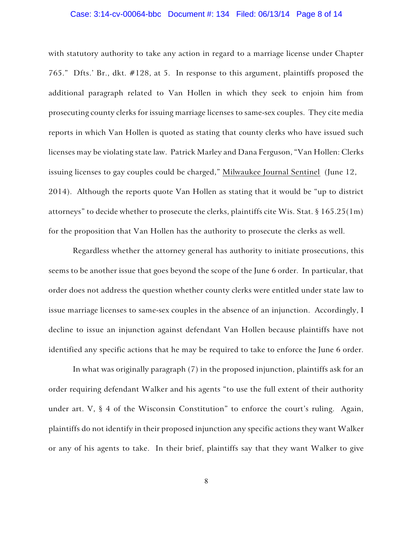# Case: 3:14-cv-00064-bbc Document #: 134 Filed: 06/13/14 Page 8 of 14

with statutory authority to take any action in regard to a marriage license under Chapter 765." Dfts.' Br., dkt. #128, at 5. In response to this argument, plaintiffs proposed the additional paragraph related to Van Hollen in which they seek to enjoin him from prosecuting county clerks for issuing marriage licenses to same-sex couples. They cite media reports in which Van Hollen is quoted as stating that county clerks who have issued such licenses may be violating state law. Patrick Marley and Dana Ferguson, "Van Hollen: Clerks issuing licenses to gay couples could be charged," Milwaukee Journal Sentinel (June 12, 2014). Although the reports quote Van Hollen as stating that it would be "up to district attorneys" to decide whether to prosecute the clerks, plaintiffs cite Wis. Stat. § 165.25(1m) for the proposition that Van Hollen has the authority to prosecute the clerks as well.

Regardless whether the attorney general has authority to initiate prosecutions, this seems to be another issue that goes beyond the scope of the June 6 order. In particular, that order does not address the question whether county clerks were entitled under state law to issue marriage licenses to same-sex couples in the absence of an injunction. Accordingly, I decline to issue an injunction against defendant Van Hollen because plaintiffs have not identified any specific actions that he may be required to take to enforce the June 6 order.

In what was originally paragraph (7) in the proposed injunction, plaintiffs ask for an order requiring defendant Walker and his agents "to use the full extent of their authority under art. V, § 4 of the Wisconsin Constitution" to enforce the court's ruling. Again, plaintiffs do not identify in their proposed injunction any specific actions they want Walker or any of his agents to take. In their brief, plaintiffs say that they want Walker to give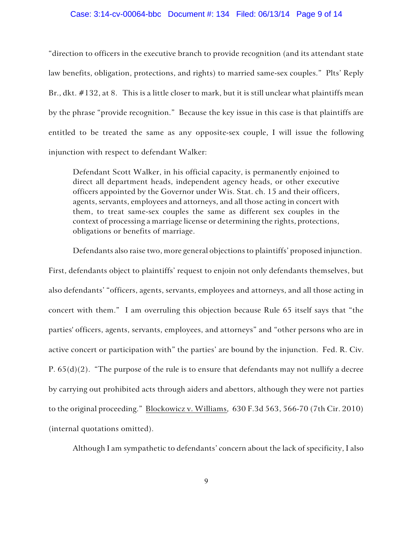#### Case: 3:14-cv-00064-bbc Document #: 134 Filed: 06/13/14 Page 9 of 14

"direction to officers in the executive branch to provide recognition (and its attendant state law benefits, obligation, protections, and rights) to married same-sex couples." Plts' Reply Br., dkt. #132, at 8. This is a little closer to mark, but it is still unclear what plaintiffs mean by the phrase "provide recognition." Because the key issue in this case is that plaintiffs are entitled to be treated the same as any opposite-sex couple, I will issue the following injunction with respect to defendant Walker:

Defendant Scott Walker, in his official capacity, is permanently enjoined to direct all department heads, independent agency heads, or other executive officers appointed by the Governor under Wis. Stat. ch. 15 and their officers, agents, servants, employees and attorneys, and all those acting in concert with them, to treat same-sex couples the same as different sex couples in the context of processing a marriage license or determining the rights, protections, obligations or benefits of marriage.

Defendants also raise two, more general objections to plaintiffs' proposed injunction. First, defendants object to plaintiffs' request to enjoin not only defendants themselves, but also defendants' "officers, agents, servants, employees and attorneys, and all those acting in concert with them." I am overruling this objection because Rule 65 itself says that "the parties' officers, agents, servants, employees, and attorneys" and "other persons who are in active concert or participation with" the parties' are bound by the injunction. Fed. R. Civ. P.  $65(d)(2)$ . "The purpose of the rule is to ensure that defendants may not nullify a decree by carrying out prohibited acts through aiders and abettors, although they were not parties to the original proceeding." Blockowicz v. Williams, 630 F.3d 563, 566-70 (7th Cir. 2010) (internal quotations omitted).

Although I am sympathetic to defendants' concern about the lack of specificity, I also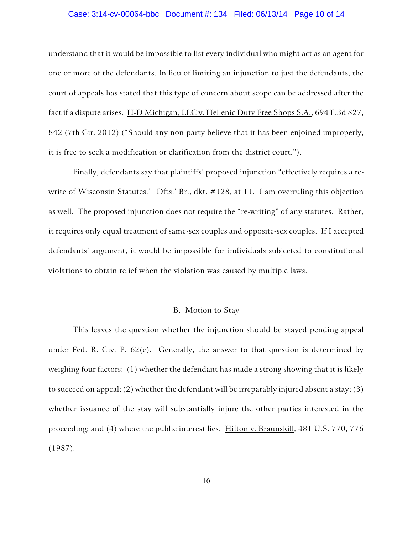# Case: 3:14-cv-00064-bbc Document #: 134 Filed: 06/13/14 Page 10 of 14

understand that it would be impossible to list every individual who might act as an agent for one or more of the defendants. In lieu of limiting an injunction to just the defendants, the court of appeals has stated that this type of concern about scope can be addressed after the fact if a dispute arises. H-D Michigan, LLC v. Hellenic Duty Free Shops S.A., 694 F.3d 827, 842 (7th Cir. 2012) ("Should any non-party believe that it has been enjoined improperly, it is free to seek a modification or clarification from the district court.").

Finally, defendants say that plaintiffs' proposed injunction "effectively requires a rewrite of Wisconsin Statutes." Dfts.' Br., dkt. #128, at 11. I am overruling this objection as well. The proposed injunction does not require the "re-writing" of any statutes. Rather, it requires only equal treatment of same-sex couples and opposite-sex couples. If I accepted defendants' argument, it would be impossible for individuals subjected to constitutional violations to obtain relief when the violation was caused by multiple laws.

# B. Motion to Stay

This leaves the question whether the injunction should be stayed pending appeal under Fed. R. Civ. P.  $62(c)$ . Generally, the answer to that question is determined by weighing four factors: (1) whether the defendant has made a strong showing that it is likely to succeed on appeal; (2) whether the defendant will be irreparably injured absent a stay; (3) whether issuance of the stay will substantially injure the other parties interested in the proceeding; and (4) where the public interest lies. Hilton v. Braunskill, 481 U.S. 770, 776 (1987).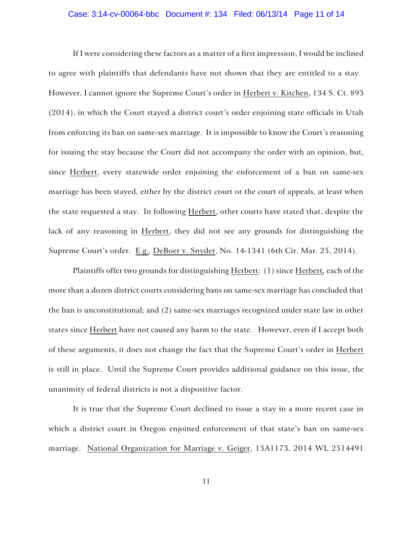# Case: 3:14-cv-00064-bbc Document #: 134 Filed: 06/13/14 Page 11 of 14

If I were considering these factors as a matter of a first impression, I would be inclined to agree with plaintiffs that defendants have not shown that they are entitled to a stay. However, I cannot ignore the Supreme Court's order in Herbert v. Kitchen, 134 S. Ct. 893 (2014), in which the Court stayed a district court's order enjoining state officials in Utah from enforcing its ban on same-sex marriage. It is impossible to know the Court's reasoning for issuing the stay because the Court did not accompany the order with an opinion, but, since Herbert, every statewide order enjoining the enforcement of a ban on same-sex marriage has been stayed, either by the district court or the court of appeals, at least when the state requested a stay. In following Herbert, other courts have stated that, despite the lack of any reasoning in Herbert, they did not see any grounds for distinguishing the Supreme Court's order. E.g., DeBoer v. Snyder, No. 14-1341 (6th Cir. Mar. 25, 2014).

Plaintiffs offer two grounds for distinguishing Herbert: (1) since Herbert*,* each of the more than a dozen district courts considering bans on same-sex marriage has concluded that the ban is unconstitutional; and (2) same-sex marriages recognized under state law in other states since Herbert have not caused any harm to the state. However, even if I accept both of these arguments, it does not change the fact that the Supreme Court's order in Herbert is still in place. Until the Supreme Court provides additional guidance on this issue, the unanimity of federal districts is not a dispositive factor.

It is true that the Supreme Court declined to issue a stay in a more recent case in which a district court in Oregon enjoined enforcement of that state's ban on same-sex marriage. National Organization for Marriage v. Geiger, 13A1173, 2014 WL 2514491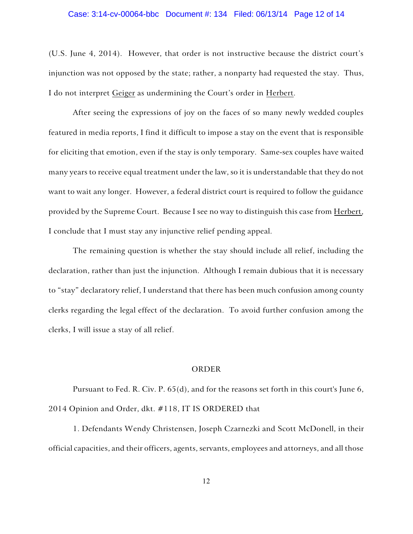#### Case: 3:14-cv-00064-bbc Document #: 134 Filed: 06/13/14 Page 12 of 14

(U.S. June 4, 2014). However, that order is not instructive because the district court's injunction was not opposed by the state; rather, a nonparty had requested the stay. Thus, I do not interpret Geiger as undermining the Court's order in Herbert.

After seeing the expressions of joy on the faces of so many newly wedded couples featured in media reports, I find it difficult to impose a stay on the event that is responsible for eliciting that emotion, even if the stay is only temporary. Same-sex couples have waited many years to receive equal treatment under the law, so it is understandable that they do not want to wait any longer. However, a federal district court is required to follow the guidance provided by the Supreme Court. Because I see no way to distinguish this case from Herbert, I conclude that I must stay any injunctive relief pending appeal.

The remaining question is whether the stay should include all relief, including the declaration, rather than just the injunction. Although I remain dubious that it is necessary to "stay" declaratory relief, I understand that there has been much confusion among county clerks regarding the legal effect of the declaration. To avoid further confusion among the clerks, I will issue a stay of all relief.

# ORDER

Pursuant to Fed. R. Civ. P. 65(d), and for the reasons set forth in this court's June 6, 2014 Opinion and Order, dkt. #118, IT IS ORDERED that

1. Defendants Wendy Christensen, Joseph Czarnezki and Scott McDonell, in their official capacities, and their officers, agents, servants, employees and attorneys, and all those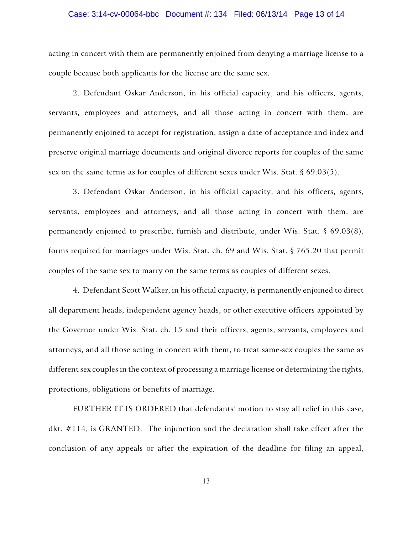# Case: 3:14-cv-00064-bbc Document #: 134 Filed: 06/13/14 Page 13 of 14

acting in concert with them are permanently enjoined from denying a marriage license to a couple because both applicants for the license are the same sex.

2. Defendant Oskar Anderson, in his official capacity, and his officers, agents, servants, employees and attorneys, and all those acting in concert with them, are permanently enjoined to accept for registration, assign a date of acceptance and index and preserve original marriage documents and original divorce reports for couples of the same sex on the same terms as for couples of different sexes under Wis. Stat. § 69.03(5).

3. Defendant Oskar Anderson, in his official capacity, and his officers, agents, servants, employees and attorneys, and all those acting in concert with them, are permanently enjoined to prescribe, furnish and distribute, under Wis. Stat. § 69.03(8), forms required for marriages under Wis. Stat. ch. 69 and Wis. Stat. § 765.20 that permit couples of the same sex to marry on the same terms as couples of different sexes.

4. Defendant Scott Walker, in his official capacity, is permanently enjoined to direct all department heads, independent agency heads, or other executive officers appointed by the Governor under Wis. Stat. ch. 15 and their officers, agents, servants, employees and attorneys, and all those acting in concert with them, to treat same-sex couples the same as different sex couples in the context of processing a marriage license or determining the rights, protections, obligations or benefits of marriage.

FURTHER IT IS ORDERED that defendants' motion to stay all relief in this case, dkt. #114, is GRANTED. The injunction and the declaration shall take effect after the conclusion of any appeals or after the expiration of the deadline for filing an appeal,